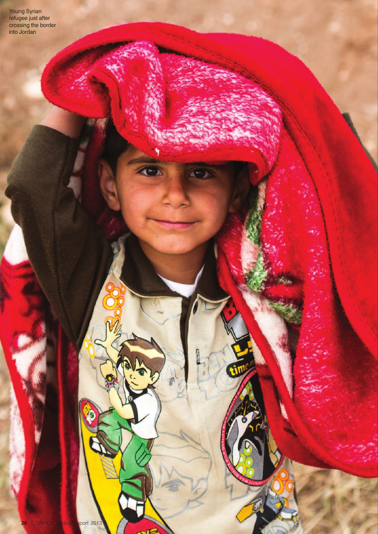Young Syrian refugee just after crossing the border into Jordan

 $\bullet$ 

dia.

G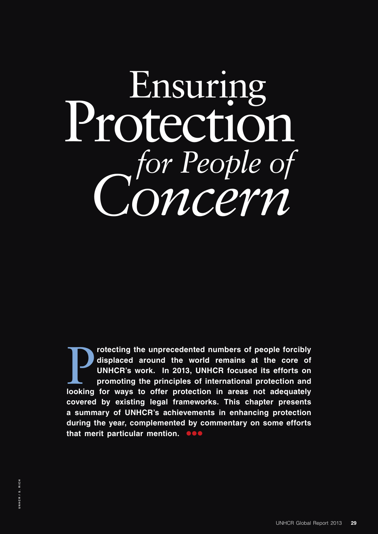# Protection Ensuring *for People of Concern*

The unprecedented numbers of people forcibly<br>displaced around the world remains at the core of<br>UNHCR's work. In 2013, UNHCR focused its efforts on<br>promoting the principles of international protection and<br>looking for ways t **rotecting the unprecedented numbers of people forcibly displaced around the world remains at the core of UNHCR's work. In 2013, UNHCR focused its efforts on promoting the principles of international protection and covered by existing legal frameworks. This chapter presents a summary of UNHCR's achievements in enhancing protection during the year, complemented by commentary on some efforts that merit particular mention. Dee**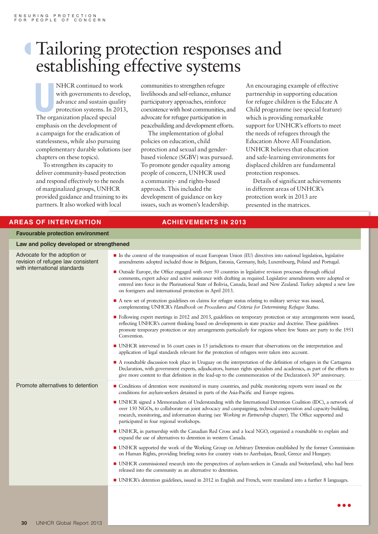## º Tailoring protection responses and establishing effective systems

**NHCR** continued to wo<br>with governments to dev<br>advance and sustain qua<br>protection systems. In 20<br>The organization placed special NHCR continued to work with governments to develop, advance and sustain quality protection systems. In 2013, emphasis on the development of a campaign for the eradication of statelessness, while also pursuing complementary durable solutions (see chapters on these topics).

To strengthen its capacity to deliver community-based protection and respond effectively to the needs of marginalized groups, UNHCR provided guidance and training to its partners. It also worked with local

communities to strengthen refugee livelihoods and self-reliance, enhance participatory approaches, reinforce coexistence with host communities, and advocate for refugee participation in peacebuilding and development efforts.

The implementation of global policies on education, child protection and sexual and genderbased violence (SGBV) was pursued. To promote gender equality among people of concern, UNHCR used a community- and rights-based approach. This included the development of guidance on key issues, such as women's leadership.

An encouraging example of effective partnership in supporting education for refugee children is the Educate A Child programme (see special feature) which is providing remarkable support for UNHCR's efforts to meet the needs of refugees through the Education Above All Foundation. UNHCR believes that education and safe-learning environments for displaced children are fundamental protection responses.

Details of significant achievements in different areas of UNHCR's protection work in 2013 are presented in the matrices.

#### **AREAS OF INTERVENTION ACHIEVEMENTS IN 2013**

**Favourable protection environment**

| Law and policy developed or strengthened<br>Advocate for the adoption or<br>In the context of the transposition of recast European Union (EU) directives into national legislation, legislative                                                                                                                                                                                                                                                      |  |
|------------------------------------------------------------------------------------------------------------------------------------------------------------------------------------------------------------------------------------------------------------------------------------------------------------------------------------------------------------------------------------------------------------------------------------------------------|--|
|                                                                                                                                                                                                                                                                                                                                                                                                                                                      |  |
| revision of refugee law consistent<br>amendments adopted included those in Belgium, Estonia, Germany, Italy, Luxembourg, Poland and Portugal.                                                                                                                                                                                                                                                                                                        |  |
| with international standards<br>• Outside Europe, the Office engaged with over 50 countries in legislative revision processes through official<br>comments, expert advice and active assistance with drafting as required. Legislative amendments were adopted or<br>entered into force in the Plurinational State of Bolivia, Canada, Israel and New Zealand. Turkey adopted a new law<br>on foreigners and international protection in April 2013. |  |
| A new set of protection guidelines on claims for refugee status relating to military service was issued,<br>complementing UNHCR's Handbook on Procedures and Criteria for Determining Refugee Status.                                                                                                                                                                                                                                                |  |
| • Following expert meetings in 2012 and 2013, guidelines on temporary protection or stay arrangements were issued,<br>reflecting UNHCR's current thinking based on developments in state practice and doctrine. These guidelines<br>promote temporary protection or stay arrangements particularly for regions where few States are party to the 1951<br>Convention.                                                                                 |  |
| • UNHCR intervened in 16 court cases in 15 jurisdictions to ensure that observations on the interpretation and<br>application of legal standards relevant for the protection of refugees were taken into account.                                                                                                                                                                                                                                    |  |
| • A roundtable discussion took place in Uruguay on the interpretation of the definition of refugees in the Cartagena<br>Declaration, with government experts, adjudicators, human rights specialists and academics, as part of the efforts to<br>give more content to that definition in the lead-up to the commemoration of the Declaration's $30th$ anniversary.                                                                                   |  |
| Promote alternatives to detention<br>Conditions of detention were monitored in many countries, and public monitoring reports were issued on the<br>conditions for asylum-seekers detained in parts of the Asia-Pacific and Europe regions.                                                                                                                                                                                                           |  |
| • UNHCR signed a Memorandum of Understanding with the International Detention Coalition (IDC), a network of<br>over 150 NGOs, to collaborate on joint advocacy and campaigning, technical cooperation and capacity-building,<br>research, monitoring, and information sharing (see Working in Partnership chapter). The Office supported and<br>participated in four regional workshops.                                                             |  |
| • UNHCR, in partnership with the Canadian Red Cross and a local NGO, organized a roundtable to explain and<br>expand the use of alternatives to detention in western Canada.                                                                                                                                                                                                                                                                         |  |
| ■ UNHCR supported the work of the Working Group on Arbitrary Detention established by the former Commission<br>on Human Rights, providing briefing notes for country visits to Azerbaijan, Brazil, Greece and Hungary.                                                                                                                                                                                                                               |  |
| • UNHCR commissioned research into the perspectives of asylum-seekers in Canada and Switzerland, who had been<br>released into the community as an alternative to detention.                                                                                                                                                                                                                                                                         |  |
| • UNHCR's detention guidelines, issued in 2012 in English and French, were translated into a further 8 languages.                                                                                                                                                                                                                                                                                                                                    |  |
|                                                                                                                                                                                                                                                                                                                                                                                                                                                      |  |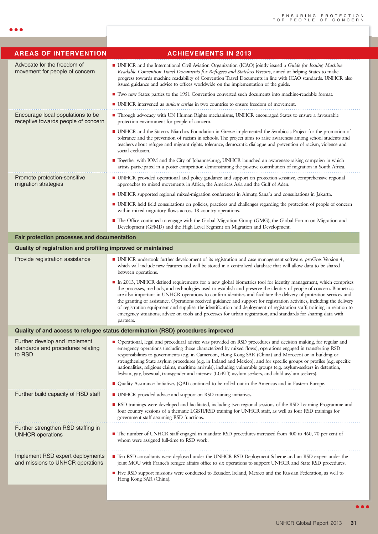| <b>AREAS OF INTERVENTION</b>                                                    | <b>ACHIEVEMENTS IN 2013</b>                                                                                                                                                                                                                                                                                                                                                                                                                                                                                                                                                                                                                                                                                                                           |  |
|---------------------------------------------------------------------------------|-------------------------------------------------------------------------------------------------------------------------------------------------------------------------------------------------------------------------------------------------------------------------------------------------------------------------------------------------------------------------------------------------------------------------------------------------------------------------------------------------------------------------------------------------------------------------------------------------------------------------------------------------------------------------------------------------------------------------------------------------------|--|
| Advocate for the freedom of<br>movement for people of concern                   | • UNHCR and the International Civil Aviation Organization (ICAO) jointly issued a Guide for Issuing Machine<br>Readable Convention Travel Documents for Refugees and Stateless Persons, aimed at helping States to make<br>progress towards machine readability of Convention Travel Documents in line with ICAO standards. UNHCR also<br>issued guidance and advice to offices worldwide on the implementation of the guide.                                                                                                                                                                                                                                                                                                                         |  |
|                                                                                 | Two new States parties to the 1951 Convention converted such documents into machine-readable format.                                                                                                                                                                                                                                                                                                                                                                                                                                                                                                                                                                                                                                                  |  |
|                                                                                 | ■ UNHCR intervened as <i>amicus curiae</i> in two countries to ensure freedom of movement.                                                                                                                                                                                                                                                                                                                                                                                                                                                                                                                                                                                                                                                            |  |
| Encourage local populations to be<br>receptive towards people of concern        | • Through advocacy with UN Human Rights mechanisms, UNHCR encouraged States to ensure a favourable<br>protection environment for people of concern.                                                                                                                                                                                                                                                                                                                                                                                                                                                                                                                                                                                                   |  |
|                                                                                 | • UNHCR and the Stavros Niarchos Foundation in Greece implemented the Symbiosis Project for the promotion of<br>tolerance and the prevention of racism in schools. The project aims to raise awareness among school students and<br>teachers about refugee and migrant rights, tolerance, democratic dialogue and prevention of racism, violence and<br>social exclusion.                                                                                                                                                                                                                                                                                                                                                                             |  |
|                                                                                 | ■ Together with IOM and the City of Johannesburg, UNHCR launched an awareness-raising campaign in which<br>artists participated in a poster competition demonstrating the positive contribution of migration in South Africa.                                                                                                                                                                                                                                                                                                                                                                                                                                                                                                                         |  |
| Promote protection-sensitive<br>migration strategies                            | • UNHCR provided operational and policy guidance and support on protection-sensitive, comprehensive regional<br>approaches to mixed movements in Africa, the Americas Asia and the Gulf of Aden.                                                                                                                                                                                                                                                                                                                                                                                                                                                                                                                                                      |  |
|                                                                                 | • UNHCR supported regional mixed-migration conferences in Almaty, Sana'a and consultations in Jakarta.                                                                                                                                                                                                                                                                                                                                                                                                                                                                                                                                                                                                                                                |  |
|                                                                                 | • UNHCR held field consultations on policies, practices and challenges regarding the protection of people of concern<br>within mixed migratory flows across 18 country operations.                                                                                                                                                                                                                                                                                                                                                                                                                                                                                                                                                                    |  |
|                                                                                 | • The Office continued to engage with the Global Migration Group (GMG), the Global Forum on Migration and<br>Development (GFMD) and the High Level Segment on Migration and Development.                                                                                                                                                                                                                                                                                                                                                                                                                                                                                                                                                              |  |
| Fair protection processes and documentation                                     |                                                                                                                                                                                                                                                                                                                                                                                                                                                                                                                                                                                                                                                                                                                                                       |  |
| Quality of registration and profiling improved or maintained                    |                                                                                                                                                                                                                                                                                                                                                                                                                                                                                                                                                                                                                                                                                                                                                       |  |
| Provide registration assistance                                                 | • UNHCR undertook further development of its registration and case management software, proGres Version 4,<br>which will include new features and will be stored in a centralized database that will allow data to be shared<br>between operations.                                                                                                                                                                                                                                                                                                                                                                                                                                                                                                   |  |
|                                                                                 | In 2013, UNHCR defined requirements for a new global biometrics tool for identity management, which comprises<br>the processes, methods, and technologies used to establish and preserve the identity of people of concern. Biometrics<br>are also important in UNHCR operations to confirm identities and facilitate the delivery of protection services and<br>the granting of assistance. Operations received guidance and support for registration activities, including the delivery<br>of registration equipment and supplies; the identification and deployment of registration staff; training in relation to<br>emergency situations; advice on tools and processes for urban registration; and standards for sharing data with<br>partners. |  |
| Quality of and access to refugee status determination (RSD) procedures improved |                                                                                                                                                                                                                                                                                                                                                                                                                                                                                                                                                                                                                                                                                                                                                       |  |
| Further develop and implement<br>standards and procedures relating<br>to RSD    | • Operational, legal and procedural advice was provided on RSD procedures and decision making, for regular and<br>emergency operations (including those characterized by mixed flows), operations engaged in transferring RSD<br>responsibilities to governments (e.g. in Cameroon, Hong Kong SAR (China) and Morocco) or in building or<br>strengthening State asylum procedures (e.g. in Ireland and Mexico); and for specific groups or profiles (e.g. specific<br>nationalities, religious claims, maritime arrivals), including vulnerable groups (e.g. asylum-seekers in detention,<br>lesbian, gay, bisexual, transgender and intersex (LGBTI) asylum-seekers, and child asylum-seekers).                                                      |  |
|                                                                                 | ■ Quality Assurance Initiatives (QAI) continued to be rolled out in the Americas and in Eastern Europe.                                                                                                                                                                                                                                                                                                                                                                                                                                                                                                                                                                                                                                               |  |
| Further build capacity of RSD staff                                             | • UNHCR provided advice and support on RSD training initiatives.                                                                                                                                                                                                                                                                                                                                                                                                                                                                                                                                                                                                                                                                                      |  |
|                                                                                 | ■ RSD trainings were developed and facilitated, including two regional sessions of the RSD Learning Programme and<br>four country sessions of a thematic LGBTI/RSD training for UNHCR staff, as well as four RSD trainings for<br>government staff assuming RSD functions.                                                                                                                                                                                                                                                                                                                                                                                                                                                                            |  |
| Further strengthen RSD staffing in                                              |                                                                                                                                                                                                                                                                                                                                                                                                                                                                                                                                                                                                                                                                                                                                                       |  |
| <b>UNHCR</b> operations                                                         | • The number of UNHCR staff engaged in mandate RSD procedures increased from 400 to 460, 70 per cent of<br>whom were assigned full-time to RSD work.                                                                                                                                                                                                                                                                                                                                                                                                                                                                                                                                                                                                  |  |
| Implement RSD expert deployments<br>and missions to UNHCR operations            | ■ Ten RSD consultants were deployed under the UNHCR RSD Deployment Scheme and an RSD expert under the<br>joint MOU with France's refugee affairs office to six operations to support UNHCR and State RSD procedures.                                                                                                                                                                                                                                                                                                                                                                                                                                                                                                                                  |  |
|                                                                                 | ■ Five RSD support missions were conducted to Ecuador, Ireland, Mexico and the Russian Federation, as well to<br>Hong Kong SAR (China).                                                                                                                                                                                                                                                                                                                                                                                                                                                                                                                                                                                                               |  |
|                                                                                 |                                                                                                                                                                                                                                                                                                                                                                                                                                                                                                                                                                                                                                                                                                                                                       |  |

 $\bullet\bullet\bullet$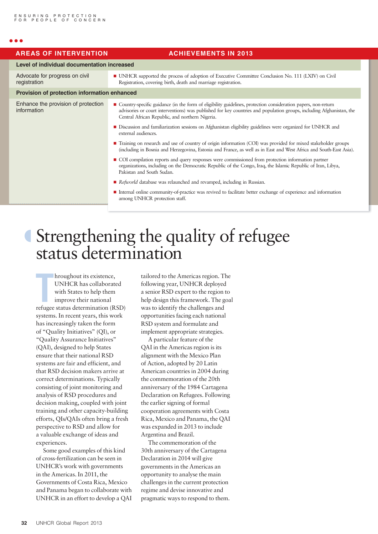#### $\bullet$   $\bullet$

|  | <b>AREAS OF INTERVENTION</b>                       | <b>ACHIEVEMENTS IN 2013</b>                                                                                                                                                                                                                                                                |
|--|----------------------------------------------------|--------------------------------------------------------------------------------------------------------------------------------------------------------------------------------------------------------------------------------------------------------------------------------------------|
|  | Level of individual documentation increased        |                                                                                                                                                                                                                                                                                            |
|  | Advocate for progress on civil<br>registration     | • UNHCR supported the process of adoption of Executive Committee Conclusion No. 111 (LXIV) on Civil<br>Registration, covering birth, death and marriage registration.                                                                                                                      |
|  | Provision of protection information enhanced       |                                                                                                                                                                                                                                                                                            |
|  | Enhance the provision of protection<br>information | • Country-specific guidance (in the form of eligibility guidelines, protection consideration papers, non-return<br>advisories or court interventions) was published for key countries and population groups, including Afghanistan, the<br>Central African Republic, and northern Nigeria. |
|  |                                                    | Discussion and familiarization sessions on Afghanistan eligibility guidelines were organized for UNHCR and<br>external audiences.                                                                                                                                                          |
|  |                                                    | ■ Training on research and use of country of origin information (COI) was provided for mixed stakeholder groups<br>(including in Bosnia and Herzegovina, Estonia and France, as well as in East and West Africa and South-East Asia).                                                      |
|  |                                                    | ■ COI compilation reports and query responses were commissioned from protection information partner<br>organizations, including on the Democratic Republic of the Congo, Iraq, the Islamic Republic of Iran, Libya,<br>Pakistan and South Sudan.                                           |
|  |                                                    | Refworld database was relaunched and revamped, including in Russian.                                                                                                                                                                                                                       |
|  |                                                    | Internal online community-of-practice was revived to facilitate better exchange of experience and information<br>among UNHCR protection staff.                                                                                                                                             |
|  |                                                    |                                                                                                                                                                                                                                                                                            |

## º Strengthening the quality of refugee status determination

**THE EXECUTE:**<br> **THE EXECUTE:**<br> **THE EXECUTE:**<br>
THE EXECUTE:<br> **THE EXECUTE:**<br> **THE EXECUTE:**<br> **THE EXECUTE:**<br> **THE EXECUTE:**<br> **THE EXECUTE:**<br> **THE EXECUTE:**<br> **THE EXECUTE:**<br> **THE EXECUTE:**<br> **THE EXECUTE:**<br> **THE EXECUTE:**<br> hroughout its existence, UNHCR has collaborated with States to help them improve their national systems. In recent years, this work has increasingly taken the form of "Quality Initiatives" (QI), or "Quality Assurance Initiatives" (QAI), designed to help States ensure that their national RSD systems are fair and efficient, and that RSD decision makers arrive at correct determinations. Typically consisting of joint monitoring and analysis of RSD procedures and decision making, coupled with joint training and other capacity-building efforts, QIs/QAIs often bring a fresh perspective to RSD and allow for a valuable exchange of ideas and experiences.

Some good examples of this kind of cross-fertilization can be seen in UNHCR's work with governments in the Americas. In 2011, the Governments of Costa Rica, Mexico and Panama began to collaborate with UNHCR in an effort to develop a QAI tailored to the Americas region. The following year, UNHCR deployed a senior RSD expert to the region to help design this framework. The goal was to identify the challenges and opportunities facing each national RSD system and formulate and implement appropriate strategies.

A particular feature of the QAI in the Americas region is its alignment with the Mexico Plan of Action, adopted by 20 Latin American countries in 2004 during the commemoration of the 20th anniversary of the 1984 Cartagena Declaration on Refugees. Following the earlier signing of formal cooperation agreements with Costa Rica, Mexico and Panama, the QAI was expanded in 2013 to include Argentina and Brazil.

The commemoration of the 30th anniversary of the Cartagena Declaration in 2014 will give governments in the Americas an opportunity to analyse the main challenges in the current protection regime and devise innovative and pragmatic ways to respond to them.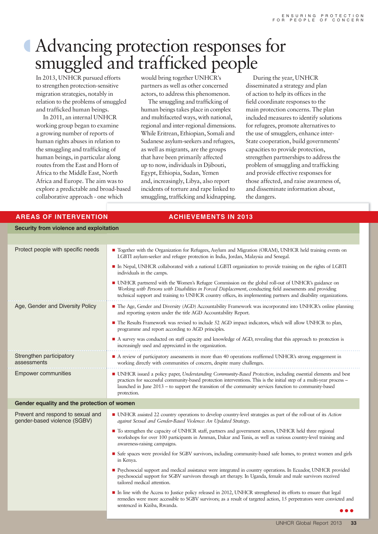## º Advancing protection responses for smuggled and trafficked people

In 2013, UNHCR pursued efforts to strengthen protection-sensitive migration strategies, notably in relation to the problems of smuggled and trafficked human beings.

In 2011, an internal UNHCR working group began to examine a growing number of reports of human rights abuses in relation to the smuggling and trafficking of human beings, in particular along routes from the East and Horn of Africa to the Middle East, North Africa and Europe. The aim was to explore a predictable and broad-based collaborative approach - one which

would bring together UNHCR's partners as well as other concerned actors, to address this phenomenon.

The smuggling and trafficking of human beings takes place in complex and multifaceted ways, with national, regional and inter-regional dimensions. While Eritrean, Ethiopian, Somali and Sudanese asylum-seekers and refugees, as well as migrants, are the groups that have been primarily affected up to now, individuals in Djibouti, Egypt, Ethiopia, Sudan, Yemen and, increasingly, Libya, also report incidents of torture and rape linked to smuggling, trafficking and kidnapping.

During the year, UNHCR disseminated a strategy and plan of action to help its offices in the field coordinate responses to the main protection concerns. The plan included measures to identify solutions for refugees, promote alternatives to the use of smugglers, enhance inter-State cooperation, build governments' capacities to provide protection, strengthen partnerships to address the problem of smuggling and trafficking and provide effective responses for those affected, and raise awareness of, and disseminate information about, the dangers.

#### **AREAS OF INTERVENTION ACHIEVEMENTS IN 2013 Security from violence and exploitation** Protect people with specific needs n Together with the Organization for Refugees, Asylum and Migration (ORAM), UNHCR held training events on LGBTI asylum-seeker and refugee protection in India, Jordan, Malaysia and Senegal. n In Nepal, UNHCR collaborated with a national LGBTI organization to provide training on the rights of LGBTI individuals in the camps. n UNHCR partnered with the Women's Refugee Commission on the global roll-out of UNHCR's guidance on *Working with Persons with Disabilities in Forced Displacement*, conducting field assessments and providing technical support and training to UNHCR country offices, its implementing partners and disability organizations. Age, Gender and Diversity Policy Fig. 1. The Age, Gender and Diversity (AGD) Accountability Framework was incorporated into UNHCR's online planning and reporting system under the title AGD Accountability Report. n The Results Framework was revised to include 52 AGD impact indicators, which will allow UNHCR to plan, programme and report according to AGD principles. n A survey was conducted on staff capacity and knowledge of AGD, revealing that this approach to protection is increasingly used and appreciated in the organization. Strengthen participatory assessments ■ A review of participatory assessments in more than 40 operations reaffirmed UNHCR's strong engagement in working directly with communities of concern, despite many challenges. **Empower communities IMHCR** issued a policy paper, *Understanding Community-Based Protection*, including essential elements and best practices for successful community-based protection interventions. This is the initial step of a multi-year process – launched in June 2013 – to support the transition of the community services function to community-based protection. **Gender equality and the protection of women** Prevent and respond to sexual and gender-based violence (SGBV) n UNHCR assisted 22 country operations to develop country-level strategies as part of the roll-out of its *Action against Sexual and Gender-Based Violence: An Updated Strategy*. n To strengthen the capacity of UNHCR staff, partners and government actors, UNHCR held three regional workshops for over 100 participants in Amman, Dakar and Tunis, as well as various country-level training and awareness-raising campaigns. n Safe spaces were provided for SGBV survivors, including community-based safe homes, to protect women and girls in Kenya. n Psychosocial support and medical assistance were integrated in country operations. In Ecuador, UNHCR provided psychosocial support for SGBV survivors through art therapy. In Uganda, female and male survivors received tailored medical attention. n In line with the Access to Justice policy released in 2012, UNHCR strengthened its efforts to ensure that legal remedies were more accessible to SGBV survivors; as a result of targeted action, 15 perpetrators were convicted and sentenced in Kiziba, Rwanda.  $\bullet\bullet\bullet$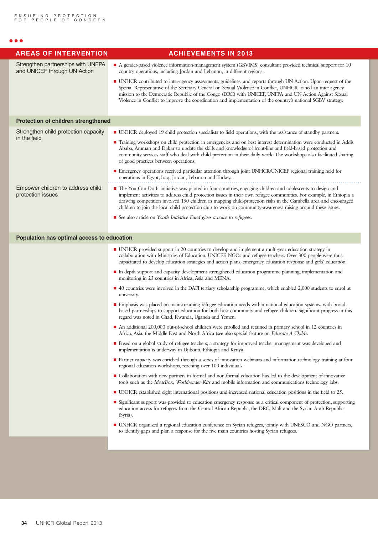#### $\bullet$   $\bullet$ Strengthen partnerships with UNFPA and UNICEF through UN Action n A gender-based violence information-management system (GBVIMS) consultant provided technical support for 10 country operations, including Jordan and Lebanon, in different regions. n UNHCR contributed to inter-agency assessments, guidelines, and reports through UN Action. Upon request of the Special Representative of the Secretary-General on Sexual Violence in Conflict, UNHCR joined an inter-agency mission to the Democratic Republic of the Congo (DRC) with UNICEF, UNFPA and UN Action Against Sexual Violence in Conflict to improve the coordination and implementation of the country's national SGBV strategy. **Protection of children strengthened** Strengthen child protection capacity in the field n UNHCR deployed 19 child protection specialists to field operations, with the assistance of standby partners. n Training workshops on child protection in emergencies and on best interest determination were conducted in Addis Ababa, Amman and Dakar to update the skills and knowledge of front-line and field-based protection and community services staff who deal with child protection in their daily work. The workshops also facilitated sharing of good practices between operations. ■ Emergency operations received particular attention through joint UNHCR/UNICEF regional training held for operations in Egypt, Iraq, Jordan, Lebanon and Turkey. Empower children to address child protection issues n The You Can Do It initiative was piloted in four countries, engaging children and adolescents to design and implement activities to address child protection issues in their own refugee communities. For example, in Ethiopia a drawing competition involved 150 children in mapping child-protection risks in the Gambella area and encouraged children to join the local child protection club to work on community-awareness raising around these issues. n See also article on *Youth Initiative Fund gives a voice to refugees*. **Population has optimal access to education** n UNHCR provided support in 20 countries to develop and implement a multi-year education strategy in collaboration with Ministries of Education, UNICEF, NGOs and refugee teachers. Over 300 people were thus capacitated to develop education strategies and action plans, emergency education response and girls' education. n In-depth support and capacity development strengthened education programme planning, implementation and monitoring in 23 countries in Africa, Asia and MENA. ■ 40 countries were involved in the DAFI tertiary scholarship programme, which enabled 2,000 students to enrol at university. n Emphasis was placed on mainstreaming refugee education needs within national education systems, with broadbased partnerships to support education for both host community and refugee children. Significant progress in this regard was noted in Chad, Rwanda, Uganda and Yemen. n An additional 200,000 out-of-school children were enrolled and retained in primary school in 12 countries in Africa, Asia, the Middle East and North Africa (see also special feature on *Educate A Child*). n Based on a global study of refugee teachers, a strategy for improved teacher management was developed and implementation is underway in Djibouti, Ethiopia and Kenya. n Partner capacity was enriched through a series of innovation webinars and information technology training at four regional education workshops, reaching over 100 individuals. n Collaboration with new partners in formal and non-formal education has led to the development of innovative tools such as the *IdeasBox*, *Worldreader Kits* and mobile information and communications technology labs. n UNHCR established eight international positions and increased national education positions in the field to 25. n Significant support was provided to education emergency response as a critical component of protection, supporting education access for refugees from the Central African Republic, the DRC, Mali and the Syrian Arab Republic (Syria). n UNHCR organized a regional education conference on Syrian refugees, jointly with UNESCO and NGO partners, to identify gaps and plan a response for the five main countries hosting Syrian refugees.  **AREAS OF INTERVENTION ACHIEVEMENTS IN 2013**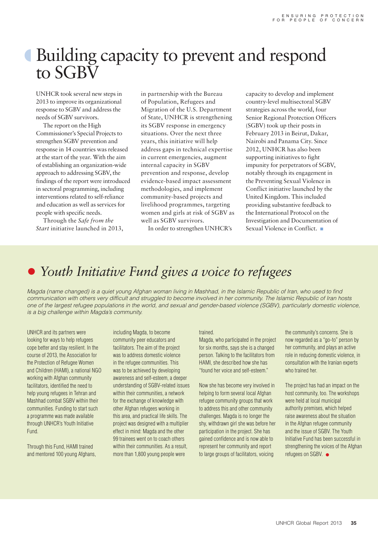## Building capacity to prevent and respond to SGBV

UNHCR took several new steps in 2013 to improve its organizational response to SGBV and address the needs of SGBV survivors.

The report on the High Commissioner's Special Projects to strengthen SGBV prevention and response in 14 countries was released at the start of the year. With the aim of establishing an organization-wide approach to addressing SGBV, the findings of the report were introduced in sectoral programming, including interventions related to self-reliance and education as well as services for people with specific needs.

Through the *Safe from the Start* initiative launched in 2013, in partnership with the Bureau of Population, Refugees and Migration of the U.S. Department of State, UNHCR is strengthening its SGBV response in emergency situations. Over the next three years, this initiative will help address gaps in technical expertise in current emergencies, augment internal capacity in SGBV prevention and response, develop evidence-based impact assessment methodologies, and implement community-based projects and livelihood programmes, targeting women and girls at risk of SGBV as well as SGBV survivors.

In order to strengthen UNHCR's

capacity to develop and implement country-level multisectoral SGBV strategies across the world, four Senior Regional Protection Officers (SGBV) took up their posts in February 2013 in Beirut, Dakar, Nairobi and Panama City. Since 2012, UNHCR has also been supporting initiatives to fight impunity for perpetrators of SGBV, notably through its engagement in the Preventing Sexual Violence in Conflict initiative launched by the United Kingdom. This included providing substantive feedback to the International Protocol on the Investigation and Documentation of Sexual Violence in Conflict.

## **•** Youth Initiative Fund gives a voice to refugees

*Magda (name changed) is a quiet young Afghan woman living in Mashhad, in the Islamic Republic of Iran, who used to find communication with others very difficult and struggled to become involved in her community. The Islamic Republic of Iran hosts one of the largest refugee populations in the world, and sexual and gender-based violence (SGBV), particularly domestic violence, is a big challenge within Magda's community.* 

UNHCR and its partners were looking for ways to help refugees cope better and stay resilient. In the course of 2013, the Association for the Protection of Refugee Women and Children (HAMI), a national NGO working with Afghan community facilitators, identified the need to help young refugees in Tehran and Mashhad combat SGBV within their communities. Funding to start such a programme was made available through UNHCR's Youth Initiative Fund.

Through this Fund, HAMI trained and mentored 100 young Afghans,

including Magda, to become community peer educators and facilitators. The aim of the project was to address domestic violence in the refugee communities. This was to be achieved by developing awareness and self-esteem, a deeper understanding of SGBV-related issues within their communities, a network for the exchange of knowledge with other Afghan refugees working in this area, and practical life skills. The project was designed with a multiplier effect in mind: Magda and the other 99 trainees went on to coach others within their communities. As a result, more than 1,800 young people were

#### trained.

Magda, who participated in the project for six months, says she is a changed person. Talking to the facilitators from HAMI, she described how she has "found her voice and self-esteem."

Now she has become very involved in helping to form several local Afghan refugee community groups that work to address this and other community challenges. Magda is no longer the shy, withdrawn girl she was before her participation in the project. She has gained confidence and is now able to represent her community and report to large groups of facilitators, voicing

the community's concerns. She is now regarded as a "go-to" person by her community, and plays an active role in reducing domestic violence, in consultation with the Iranian experts who trained her.

The project has had an impact on the host community, too. The workshops were held at local municipal authority premises, which helped raise awareness about the situation in the Afghan refugee community and the issue of SGBV. The Youth Initiative Fund has been successful in strengthening the voices of the Afghan refugees on SGBV.  $\bullet$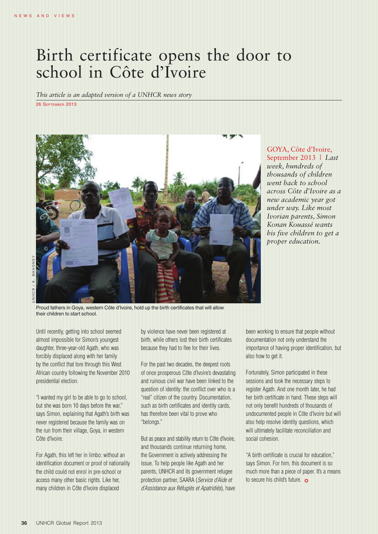## Birth certificate opens the door to school in Côte d'Ivoire

*This article is an adapted version of a UNHCR news story*

26 SEPTEMBER 2013



U N H C R / K . M A H O N E Y

Proud fathers in Goya, western Côte d'Ivoire, hold up the birth certificates that will allow their children to start school.

Until recently, getting into school seemed almost impossible for Simon's youngest daughter, three-year-old Agath, who was forcibly displaced along with her family by the conflict that tore through this West African country following the November 2010 presidential election.

"I wanted my girl to be able to go to school, but she was born 10 days before the war," says Simon, explaining that Agath's birth was never registered because the family was on the run from their village, Goya, in western Côte d'Ivoire.

For Agath, this left her in limbo: without an identification document or proof of nationality the child could not enrol in pre-school or access many other basic rights. Like her, many children in Côte d'Ivoire displaced

by violence have never been registered at birth, while others lost their birth certificates because they had to flee for their lives.

For the past two decades, the deepest roots of once prosperous Côte d'Ivoire's devastating and ruinous civil war have been linked to the question of identity: the conflict over who is a "real" citizen of the country. Documentation, such as birth certificates and identity cards, has therefore been vital to prove who "belongs."

But as peace and stability return to Côte d'Ivoire, and thousands continue returning home, the Government is actively addressing the issue. To help people like Agath and her parents, UNHCR and its government refugee protection partner, SAARA (*Service d'Aide et d'Assistance aux Réfugiés et Apatridiés*), have

GOYA, Côte d'Ivoire, September 2013 *| Last week, hundreds of thousands of children went back to school across Côte d'Ivoire as a new academic year got under way. Like most Ivorian parents, Simon Konan Kouassé wants his five children to get a proper education.*

been working to ensure that people without documentation not only understand the importance of having proper identification, but also how to get it.

Fortunately, Simon participated in these sessions and took the necessary steps to register Agath. And one month later, he had her birth certificate in hand. These steps will not only benefit hundreds of thousands of undocumented people in Côte d'Ivoire but will also help resolve identity questions, which will ultimately facilitate reconciliation and social cohesion.

"A birth certificate is crucial for education," says Simon. For him, this document is so much more than a piece of paper. It's a means to secure his child's future.  $\bullet$